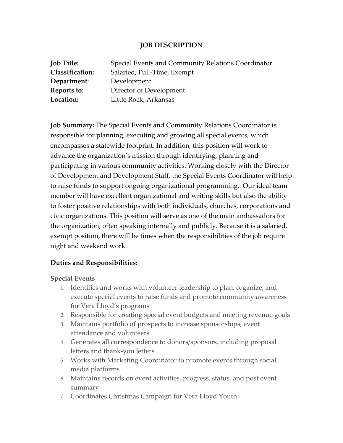### **JOB DESCRIPTION**

| <b>Job Title:</b>      | Special Events and Community Relations Coordinator |
|------------------------|----------------------------------------------------|
| <b>Classification:</b> | Salaried, Full-Time, Exempt                        |
| Department:            | Development                                        |
| Reports to:            | Director of Development                            |
| Location:              | Little Rock, Arkansas                              |

**Job Summary:** The Special Events and Community Relations Coordinator is responsible for planning, executing and growing all special events, which encompasses a statewide footprint. In addition, this position will work to advance the organization's mission through identifying, planning and participating in various community activities. Working closely with the Director of Development and Development Staff, the Special Events Coordinator will help to raise funds to support ongoing organizational programming. Our ideal team member will have excellent organizational and writing skills but also the ability to foster positive relationships with both individuals, churches, corporations and civic organizations. This position will serve as one of the main ambassadors for the organization, often speaking internally and publicly. Because it is a salaried, exempt position, there will be times when the responsibilities of the job require night and weekend work.

## **Duties and Responsibilities:**

## **Special Events**

- 1. Identifies and works with volunteer leadership to plan, organize, and execute special events to raise funds and promote community awareness for Vera Lloyd's programs
- 2. Responsible for creating special event budgets and meeting revenue goals
- 3. Maintains portfolio of prospects to increase sponsorships, event attendance and volunteers
- 4. Generates all correspondence to donors/sponsors, including proposal letters and thank-you letters
- 5. Works with Marketing Coordinator to promote events through social media platforms
- 6. Maintains records on event activities, progress, status, and post event summary
- 7. Coordinates Christmas Campaign for Vera Lloyd Youth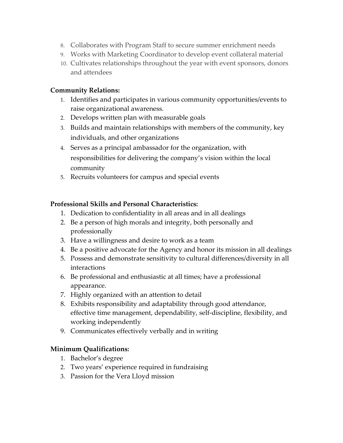- 8. Collaborates with Program Staff to secure summer enrichment needs
- 9. Works with Marketing Coordinator to develop event collateral material
- 10. Cultivates relationships throughout the year with event sponsors, donors and attendees

## **Community Relations:**

- 1. Identifies and participates in various community opportunities/events to raise organizational awareness.
- 2. Develops written plan with measurable goals
- 3. Builds and maintain relationships with members of the community, key individuals, and other organizations
- 4. Serves as a principal ambassador for the organization, with responsibilities for delivering the company's vision within the local community
- 5. Recruits volunteers for campus and special events

# **Professional Skills and Personal Characteristics:**

- 1. Dedication to confidentiality in all areas and in all dealings
- 2. Be a person of high morals and integrity, both personally and professionally
- 3. Have a willingness and desire to work as a team
- 4. Be a positive advocate for the Agency and honor its mission in all dealings
- 5. Possess and demonstrate sensitivity to cultural differences/diversity in all interactions
- 6. Be professional and enthusiastic at all times; have a professional appearance.
- 7. Highly organized with an attention to detail
- 8. Exhibits responsibility and adaptability through good attendance, effective time management, dependability, self-discipline, flexibility, and working independently
- 9. Communicates effectively verbally and in writing

## **Minimum Qualifications:**

- 1. Bachelor's degree
- 2. Two years' experience required in fundraising
- 3. Passion for the Vera Lloyd mission